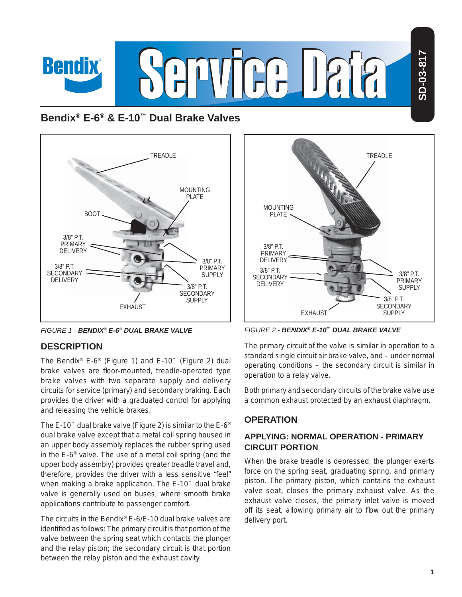

# **Bendix® E-6® & E-10™ Dual Brake Valves**



## **DESCRIPTION**

The Bendix® E-6® (Figure 1) and E-10™ (Figure 2) dual brake valves are floor-mounted, treadle-operated type brake valves with two separate supply and delivery circuits for service (primary) and secondary braking. Each provides the driver with a graduated control for applying and releasing the vehicle brakes.

The E-10™ dual brake valve (Figure 2) is similar to the E-6<sup>®</sup> dual brake valve except that a metal coil spring housed in an upper body assembly replaces the rubber spring used in the E-6® valve. The use of a metal coil spring (and the upper body assembly) provides greater treadle travel and, therefore, provides the driver with a less sensitive "feel" when making a brake application. The E-10™ dual brake valve is generally used on buses, where smooth brake applications contribute to passenger comfort.

The circuits in the Bendix® E-6/E-10 dual brake valves are identified as follows: The primary circuit is that portion of the valve between the spring seat which contacts the plunger and the relay piston; the secondary circuit is that portion between the relay piston and the exhaust cavity.



*FIGURE 1 - BENDIX® E-6® DUAL BRAKE VALVE FIGURE 2 - BENDIX® E-10™ DUAL BRAKE VALVE*

The primary circuit of the valve is similar in operation to a standard single circuit air brake valve, and – under normal operating conditions – the secondary circuit is similar in operation to a relay valve.

Both primary and secondary circuits of the brake valve use a common exhaust protected by an exhaust diaphragm.

## **OPERATION**

### **APPLYING: NORMAL OPERATION - PRIMARY CIRCUIT PORTION**

When the brake treadle is depressed, the plunger exerts force on the spring seat, graduating spring, and primary piston. The primary piston, which contains the exhaust valve seat, closes the primary exhaust valve. As the exhaust valve closes, the primary inlet valve is moved off its seat, allowing primary air to flow out the primary delivery port.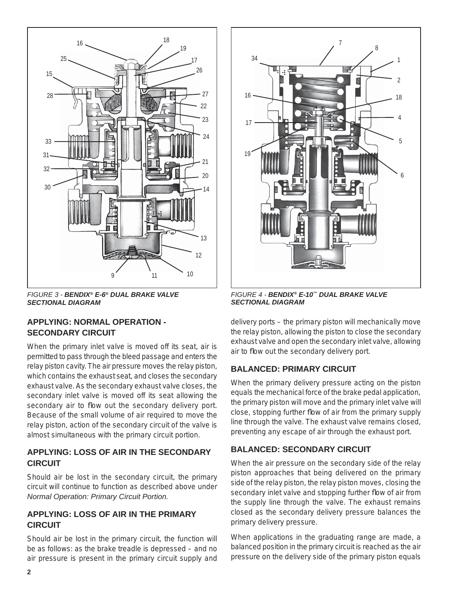

*FIGURE 3 - BENDIX® E-6® DUAL BRAKE VALVE SECTIONAL DIAGRAM*

#### **APPLYING: NORMAL OPERATION - SECONDARY CIRCUIT**

When the primary inlet valve is moved off its seat, air is permitted to pass through the bleed passage and enters the relay piston cavity. The air pressure moves the relay piston, which contains the exhaust seat, and closes the secondary exhaust valve. As the secondary exhaust valve closes, the secondary inlet valve is moved off its seat allowing the secondary air to flow out the secondary delivery port. Because of the small volume of air required to move the relay piston, action of the secondary circuit of the valve is almost simultaneous with the primary circuit portion.

#### **APPLYING: LOSS OF AIR IN THE SECONDARY CIRCUIT**

Should air be lost in the secondary circuit, the primary circuit will continue to function as described above under *Normal Operation: Primary Circuit Portion.*

#### **APPLYING: LOSS OF AIR IN THE PRIMARY CIRCUIT**

Should air be lost in the primary circuit, the function will be as follows: as the brake treadle is depressed – and no air pressure is present in the primary circuit supply and



*FIGURE 4 - BENDIX® E-10™ DUAL BRAKE VALVE SECTIONAL DIAGRAM*

delivery ports – the primary piston will mechanically move the relay piston, allowing the piston to close the secondary exhaust valve and open the secondary inlet valve, allowing air to flow out the secondary delivery port.

### **BALANCED: PRIMARY CIRCUIT**

When the primary delivery pressure acting on the piston equals the mechanical force of the brake pedal application, the primary piston will move and the primary inlet valve will close, stopping further flow of air from the primary supply line through the valve. The exhaust valve remains closed, preventing any escape of air through the exhaust port.

### **BALANCED: SECONDARY CIRCUIT**

When the air pressure on the secondary side of the relay piston approaches that being delivered on the primary side of the relay piston, the relay piston moves, closing the secondary inlet valve and stopping further flow of air from the supply line through the valve. The exhaust remains closed as the secondary delivery pressure balances the primary delivery pressure.

When applications in the graduating range are made, a balanced position in the primary circuit is reached as the air pressure on the delivery side of the primary piston equals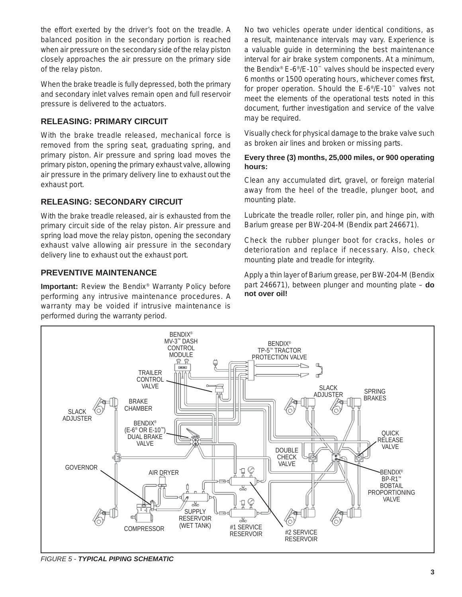the effort exerted by the driver's foot on the treadle. A balanced position in the secondary portion is reached when air pressure on the secondary side of the relay piston closely approaches the air pressure on the primary side of the relay piston.

When the brake treadle is fully depressed, both the primary and secondary inlet valves remain open and full reservoir pressure is delivered to the actuators.

#### **RELEASING: PRIMARY CIRCUIT**

With the brake treadle released, mechanical force is removed from the spring seat, graduating spring, and primary piston. Air pressure and spring load moves the primary piston, opening the primary exhaust valve, allowing air pressure in the primary delivery line to exhaust out the exhaust port.

#### **RELEASING: SECONDARY CIRCUIT**

With the brake treadle released, air is exhausted from the primary circuit side of the relay piston. Air pressure and spring load move the relay piston, opening the secondary exhaust valve allowing air pressure in the secondary delivery line to exhaust out the exhaust port.

#### **PREVENTIVE MAINTENANCE**

**Important:** Review the Bendix® Warranty Policy before performing any intrusive maintenance procedures. A warranty may be voided if intrusive maintenance is performed during the warranty period.

No two vehicles operate under identical conditions, as a result, maintenance intervals may vary. Experience is a valuable guide in determining the best maintenance interval for air brake system components. At a minimum, the Bendix® E-6®/E-10™ valves should be inspected every 6 months or 1500 operating hours, whichever comes first, for proper operation. Should the E-6®/E-10™ valves not meet the elements of the operational tests noted in this document, further investigation and service of the valve may be required.

Visually check for physical damage to the brake valve such as broken air lines and broken or missing parts.

#### **Every three (3) months, 25,000 miles, or 900 operating hours:**

Clean any accumulated dirt, gravel, or foreign material away from the heel of the treadle, plunger boot, and mounting plate.

Lubricate the treadle roller, roller pin, and hinge pin, with Barium grease per BW-204-M (Bendix part 246671).

Check the rubber plunger boot for cracks, holes or deterioration and replace if necessary. Also, check mounting plate and treadle for integrity.

Apply a thin layer of Barium grease, per BW-204-M (Bendix part 246671), between plunger and mounting plate – **do not over oil!**



*FIGURE 5 - TYPICAL PIPING SCHEMATIC*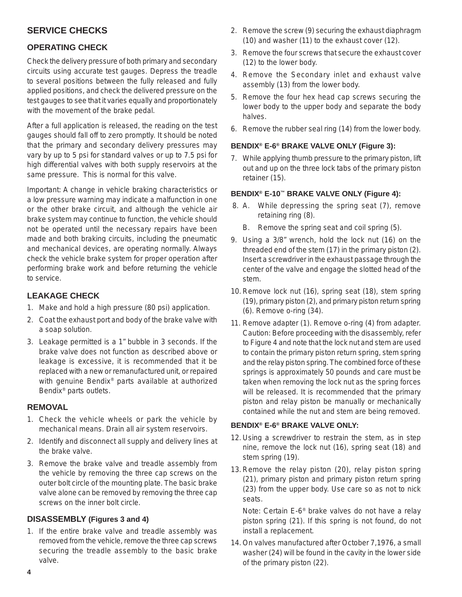## **SERVICE CHECKS**

### **OPERATING CHECK**

Check the delivery pressure of both primary and secondary circuits using accurate test gauges. Depress the treadle to several positions between the fully released and fully applied positions, and check the delivered pressure on the test gauges to see that it varies equally and proportionately with the movement of the brake pedal.

After a full application is released, the reading on the test gauges should fall off to zero promptly. It should be noted that the primary and secondary delivery pressures may vary by up to 5 psi for standard valves or up to 7.5 psi for high differential valves with both supply reservoirs at the same pressure. This is normal for this valve.

Important: A change in vehicle braking characteristics or a low pressure warning may indicate a malfunction in one or the other brake circuit, and although the vehicle air brake system may continue to function, the vehicle should not be operated until the necessary repairs have been made and both braking circuits, including the pneumatic and mechanical devices, are operating normally. Always check the vehicle brake system for proper operation after performing brake work and before returning the vehicle to service.

### **LEAKAGE CHECK**

- 1. Make and hold a high pressure (80 psi) application.
- 2. Coat the exhaust port and body of the brake valve with a soap solution.
- 3. Leakage permitted is a 1" bubble in 3 seconds. If the brake valve does not function as described above or leakage is excessive, it is recommended that it be replaced with a new or remanufactured unit, or repaired with genuine Bendix® parts available at authorized Bendix® parts outlets.

#### **REMOVAL**

- 1. Check the vehicle wheels or park the vehicle by mechanical means. Drain all air system reservoirs.
- 2. Identify and disconnect all supply and delivery lines at the brake valve.
- 3. Remove the brake valve and treadle assembly from the vehicle by removing the three cap screws on the outer bolt circle of the mounting plate. The basic brake valve alone can be removed by removing the three cap screws on the inner bolt circle.

### **DISASSEMBLY (Figures 3 and 4)**

1. If the entire brake valve and treadle assembly was removed from the vehicle, remove the three cap screws securing the treadle assembly to the basic brake valve.

- 2. Remove the screw (9) securing the exhaust diaphragm (10) and washer (11) to the exhaust cover (12).
- 3. Remove the four screws that secure the exhaust cover (12) to the lower body.
- 4. Remove the Secondary inlet and exhaust valve assembly (13) from the lower body.
- 5. Remove the four hex head cap screws securing the lower body to the upper body and separate the body halves.
- 6. Remove the rubber seal ring (14) from the lower body.

#### **BENDIX® E-6® BRAKE VALVE ONLY (Figure 3):**

7. While applying thumb pressure to the primary piston, lift out and up on the three lock tabs of the primary piston retainer (15).

#### **BENDIX® E-10™ BRAKE VALVE ONLY (Figure 4):**

- 8. A. While depressing the spring seat (7), remove retaining ring (8).
	- B. Remove the spring seat and coil spring (5).
- 9. Using a 3/8" wrench, hold the lock nut (16) on the threaded end of the stem (17) in the primary piston (2). Insert a screwdriver in the exhaust passage through the center of the valve and engage the slotted head of the stem.
- 10. Remove lock nut (16), spring seat (18), stem spring (19), primary piston (2), and primary piston return spring (6). Remove o-ring (34).
- 11. Remove adapter (1). Remove o-ring (4) from adapter. Caution: Before proceeding with the disassembly, refer to Figure 4 and note that the lock nut and stem are used to contain the primary piston return spring, stem spring and the relay piston spring. The combined force of these springs is approximately 50 pounds and care must be taken when removing the lock nut as the spring forces will be released. It is recommended that the primary piston and relay piston be manually or mechanically contained while the nut and stem are being removed.

#### **BENDIX® E-6® BRAKE VALVE ONLY:**

- 12. Using a screwdriver to restrain the stem, as in step nine, remove the lock nut (16), spring seat (18) and stem spring (19).
- 13. Remove the relay piston (20), relay piston spring (21), primary piston and primary piston return spring (23) from the upper body. Use care so as not to nick seats.

 Note: Certain E-6® brake valves do not have a relay piston spring (21). If this spring is not found, do not install a replacement.

14. On valves manufactured after October 7,1976, a small washer (24) will be found in the cavity in the lower side of the primary piston (22).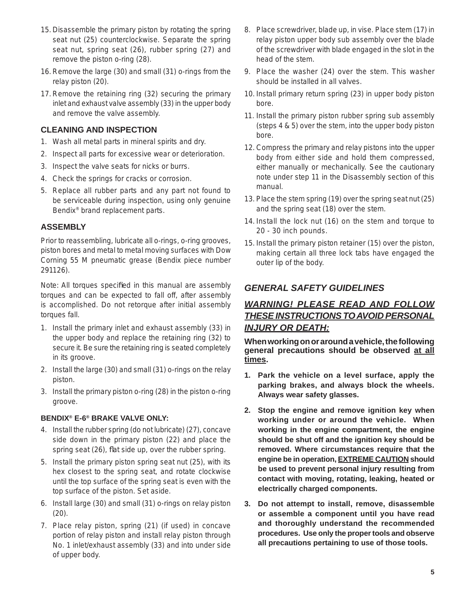- 15. Disassemble the primary piston by rotating the spring seat nut (25) counterclockwise. Separate the spring seat nut, spring seat (26), rubber spring (27) and remove the piston o-ring (28).
- 16. Remove the large (30) and small (31) o-rings from the relay piston (20).
- 17. Remove the retaining ring (32) securing the primary inlet and exhaust valve assembly (33) in the upper body and remove the valve assembly.

### **CLEANING AND INSPECTION**

- 1. Wash all metal parts in mineral spirits and dry.
- 2. Inspect all parts for excessive wear or deterioration.
- 3. Inspect the valve seats for nicks or burrs.
- 4. Check the springs for cracks or corrosion.
- 5. Replace all rubber parts and any part not found to be serviceable during inspection, using only genuine Bendix® brand replacement parts.

### **ASSEMBLY**

Prior to reassembling, lubricate all o-rings, o-ring grooves, piston bores and metal to metal moving surfaces with Dow Corning 55 M pneumatic grease (Bendix piece number 291126).

Note: All torques specified in this manual are assembly torques and can be expected to fall off, after assembly is accomplished. Do not retorque after initial assembly torques fall.

- 1. Install the primary inlet and exhaust assembly (33) in the upper body and replace the retaining ring (32) to secure it. Be sure the retaining ring is seated completely in its groove.
- 2. Install the large (30) and small (31) o-rings on the relay piston.
- 3. Install the primary piston o-ring (28) in the piston o-ring groove.

#### **BENDIX® E-6® BRAKE VALVE ONLY:**

- 4. Install the rubber spring (do not lubricate) (27), concave side down in the primary piston (22) and place the spring seat (26), flat side up, over the rubber spring.
- 5. Install the primary piston spring seat nut (25), with its hex closest to the spring seat, and rotate clockwise until the top surface of the spring seat is even with the top surface of the piston. Set aside.
- 6. Install large (30) and small (31) o-rings on relay piston (20).
- 7. Place relay piston, spring (21) (if used) in concave portion of relay piston and install relay piston through No. 1 inlet/exhaust assembly (33) and into under side of upper body.
- 8. Place screwdriver, blade up, in vise. Place stem (17) in relay piston upper body sub assembly over the blade of the screwdriver with blade engaged in the slot in the head of the stem.
- 9. Place the washer (24) over the stem. This washer should be installed in all valves.
- 10. Install primary return spring (23) in upper body piston bore.
- 11. Install the primary piston rubber spring sub assembly (steps 4 & 5) over the stem, into the upper body piston bore.
- 12. Compress the primary and relay pistons into the upper body from either side and hold them compressed, either manually or mechanically. See the cautionary note under step 11 in the Disassembly section of this manual.
- 13. Place the stem spring (19) over the spring seat nut (25) and the spring seat (18) over the stem.
- 14. Install the lock nut (16) on the stem and torque to 20 - 30 inch pounds.
- 15. Install the primary piston retainer (15) over the piston, making certain all three lock tabs have engaged the outer lip of the body.

## *GENERAL SAFETY GUIDELINES*

## *WARNING! PLEASE READ AND FOLLOW THESE INSTRUCTIONS TO AVOID PERSONAL INJURY OR DEATH:*

**When working on or around a vehicle, the following general precautions should be observed at all times.**

- **1. Park the vehicle on a level surface, apply the parking brakes, and always block the wheels. Always wear safety glasses.**
- **2. Stop the engine and remove ignition key when working under or around the vehicle. When working in the engine compartment, the engine should be shut off and the ignition key should be removed. Where circumstances require that the engine be in operation, EXTREME CAUTION should be used to prevent personal injury resulting from contact with moving, rotating, leaking, heated or electrically charged components.**
- **3. Do not attempt to install, remove, disassemble or assemble a component until you have read and thoroughly understand the recommended procedures. Use only the proper tools and observe all precautions pertaining to use of those tools.**